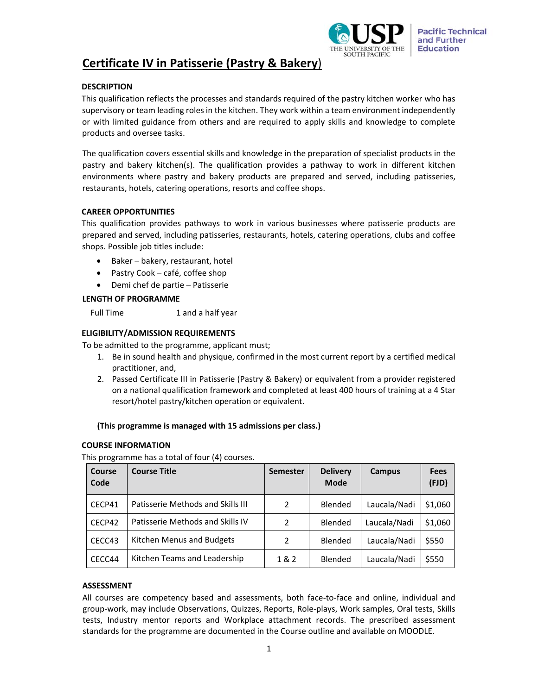

# **Certificate IV in Patisserie (Pastry & Bakery**)

# **DESCRIPTION**

This qualification reflects the processes and standards required of the pastry kitchen worker who has supervisory or team leading roles in the kitchen. They work within a team environment independently or with limited guidance from others and are required to apply skills and knowledge to complete products and oversee tasks.

The qualification covers essential skills and knowledge in the preparation of specialist products in the pastry and bakery kitchen(s). The qualification provides a pathway to work in different kitchen environments where pastry and bakery products are prepared and served, including patisseries, restaurants, hotels, catering operations, resorts and coffee shops.

#### **CAREER OPPORTUNITIES**

This qualification provides pathways to work in various businesses where patisserie products are prepared and served, including patisseries, restaurants, hotels, catering operations, clubs and coffee shops. Possible job titles include:

- Baker bakery, restaurant, hotel
- Pastry Cook café, coffee shop
- Demi chef de partie Patisserie

#### **LENGTH OF PROGRAMME**

Full Time 1 and a half year

#### **ELIGIBILITY/ADMISSION REQUIREMENTS**

To be admitted to the programme, applicant must;

- 1. Be in sound health and physique, confirmed in the most current report by a certified medical practitioner, and,
- 2. Passed Certificate III in Patisserie (Pastry & Bakery) or equivalent from a provider registered on a national qualification framework and completed at least 400 hours of training at a 4 Star resort/hotel pastry/kitchen operation or equivalent.

#### **(This programme is managed with 15 admissions per class.)**

#### **COURSE INFORMATION**

This programme has a total of four (4) courses.

| Course<br>Code | <b>Course Title</b>               | <b>Semester</b> | <b>Delivery</b><br><b>Mode</b> | <b>Campus</b> | <b>Fees</b><br>(FJD) |
|----------------|-----------------------------------|-----------------|--------------------------------|---------------|----------------------|
| CECP41         | Patisserie Methods and Skills III | $\mathcal{P}$   | Blended                        | Laucala/Nadi  | \$1,060              |
| CECP42         | Patisserie Methods and Skills IV  | $\mathcal{P}$   | Blended                        | Laucala/Nadi  | \$1,060              |
| CECC43         | Kitchen Menus and Budgets         | $\mathcal{P}$   | Blended                        | Laucala/Nadi  | \$550                |
| CECC44         | Kitchen Teams and Leadership      | 1&2             | Blended                        | Laucala/Nadi  | \$550                |

#### **ASSESSMENT**

All courses are competency based and assessments, both face-to-face and online, individual and group‐work, may include Observations, Quizzes, Reports, Role‐plays, Work samples, Oral tests, Skills tests, Industry mentor reports and Workplace attachment records. The prescribed assessment standards for the programme are documented in the Course outline and available on MOODLE.